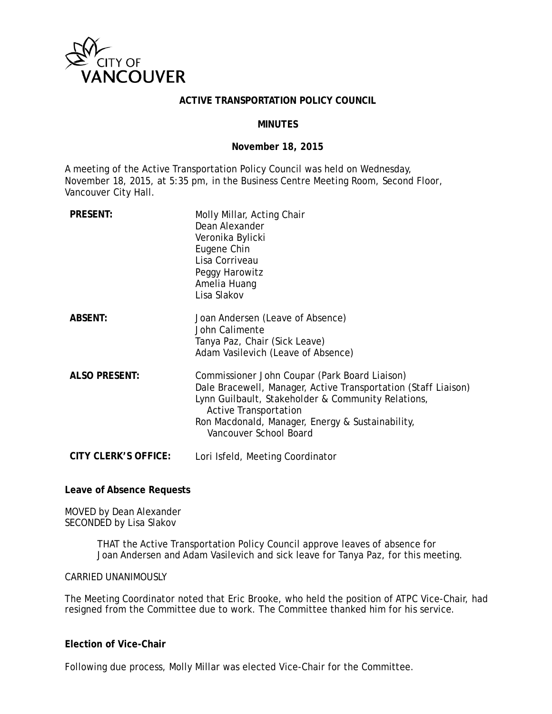

#### **ACTIVE TRANSPORTATION POLICY COUNCIL**

#### **MINUTES**

#### **November 18, 2015**

A meeting of the Active Transportation Policy Council was held on Wednesday, November 18, 2015, at 5:35 pm, in the Business Centre Meeting Room, Second Floor, Vancouver City Hall.

| <b>PRESENT:</b>             | Molly Millar, Acting Chair<br>Dean Alexander<br>Veronika Bylicki<br>Eugene Chin<br>Lisa Corriveau<br>Peggy Harowitz<br>Amelia Huang<br>Lisa Slakov                                                                                                                                  |
|-----------------------------|-------------------------------------------------------------------------------------------------------------------------------------------------------------------------------------------------------------------------------------------------------------------------------------|
| <b>ABSENT:</b>              | Joan Andersen (Leave of Absence)<br>John Calimente<br>Tanya Paz, Chair (Sick Leave)<br>Adam Vasilevich (Leave of Absence)                                                                                                                                                           |
| <b>ALSO PRESENT:</b>        | Commissioner John Coupar (Park Board Liaison)<br>Dale Bracewell, Manager, Active Transportation (Staff Liaison)<br>Lynn Guilbault, Stakeholder & Community Relations,<br><b>Active Transportation</b><br>Ron Macdonald, Manager, Energy & Sustainability,<br>Vancouver School Board |
| <b>CITY CLERK'S OFFICE:</b> | Lori Isfeld, Meeting Coordinator                                                                                                                                                                                                                                                    |

#### **Leave of Absence Requests**

MOVED by Dean Alexander SECONDED by Lisa Slakov

> THAT the Active Transportation Policy Council approve leaves of absence for Joan Andersen and Adam Vasilevich and sick leave for Tanya Paz, for this meeting.

CARRIED UNANIMOUSLY

The Meeting Coordinator noted that Eric Brooke, who held the position of ATPC Vice-Chair, had resigned from the Committee due to work. The Committee thanked him for his service.

#### **Election of Vice-Chair**

Following due process, Molly Millar was elected Vice-Chair for the Committee.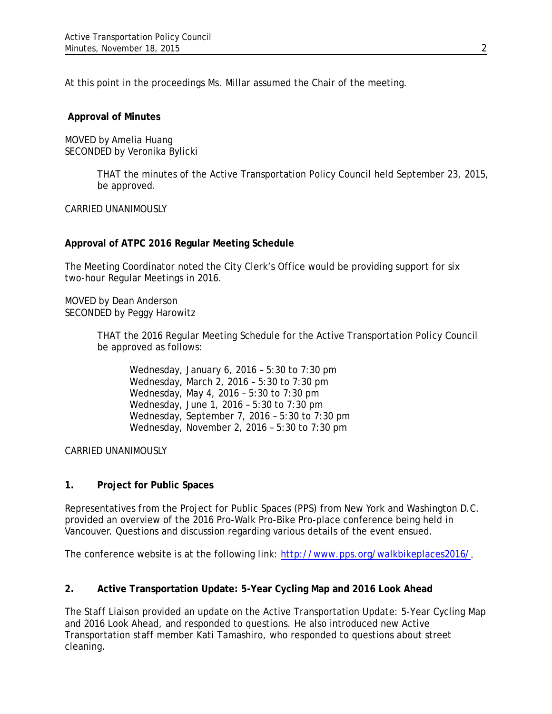At this point in the proceedings Ms. Millar assumed the Chair of the meeting.

#### **Approval of Minutes**

MOVED by Amelia Huang SECONDED by Veronika Bylicki

> THAT the minutes of the Active Transportation Policy Council held September 23, 2015, be approved.

#### CARRIED UNANIMOUSLY

## **Approval of ATPC 2016 Regular Meeting Schedule**

The Meeting Coordinator noted the City Clerk's Office would be providing support for six two-hour Regular Meetings in 2016.

MOVED by Dean Anderson SECONDED by Peggy Harowitz

> THAT the 2016 Regular Meeting Schedule for the Active Transportation Policy Council be approved as follows:

Wednesday, January 6, 2016 – 5:30 to 7:30 pm Wednesday, March 2, 2016 – 5:30 to 7:30 pm Wednesday, May 4, 2016 – 5:30 to 7:30 pm Wednesday, June 1, 2016 – 5:30 to 7:30 pm Wednesday, September 7, 2016 – 5:30 to 7:30 pm Wednesday, November 2, 2016 – 5:30 to 7:30 pm

CARRIED UNANIMOUSLY

## **1. Project for Public Spaces**

Representatives from the Project for Public Spaces (PPS) from New York and Washington D.C. provided an overview of the 2016 Pro-Walk Pro-Bike Pro-place conference being held in Vancouver. Questions and discussion regarding various details of the event ensued.

The conference website is at the following link: [http://www.pps.org/walkbikeplaces2016/.](http://www.pps.org/walkbikeplaces2016/)

## **2. Active Transportation Update: 5-Year Cycling Map and 2016 Look Ahead**

The Staff Liaison provided an update on the Active Transportation Update: 5-Year Cycling Map and 2016 Look Ahead, and responded to questions. He also introduced new Active Transportation staff member Kati Tamashiro, who responded to questions about street cleaning.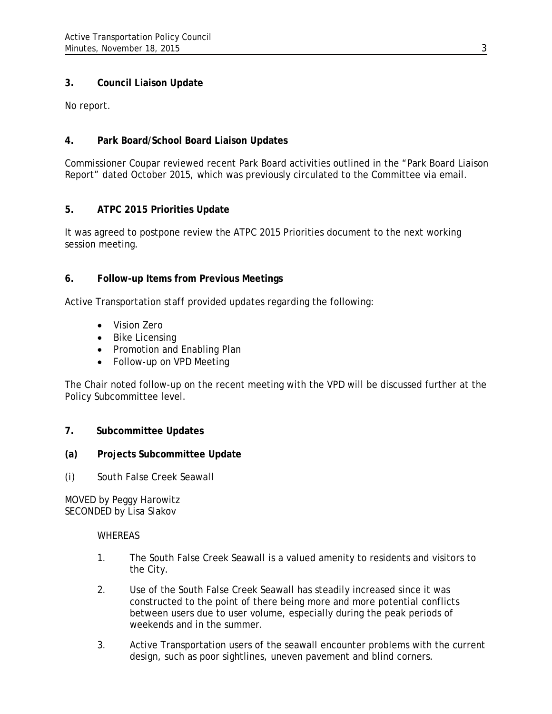# **3. Council Liaison Update**

No report.

## **4. Park Board/School Board Liaison Updates**

Commissioner Coupar reviewed recent Park Board activities outlined in the "Park Board Liaison Report" dated October 2015, which was previously circulated to the Committee via email.

# **5. ATPC 2015 Priorities Update**

It was agreed to postpone review the ATPC 2015 Priorities document to the next working session meeting.

## **6. Follow-up Items from Previous Meetings**

Active Transportation staff provided updates regarding the following:

- Vision Zero
- Bike Licensing
- Promotion and Enabling Plan
- Follow-up on VPD Meeting

The Chair noted follow-up on the recent meeting with the VPD will be discussed further at the Policy Subcommittee level.

## **7. Subcommittee Updates**

## **(a) Projects Subcommittee Update**

*(i) South False Creek Seawall*

MOVED by Peggy Harowitz SECONDED by Lisa Slakov

#### WHEREAS

- 1. The South False Creek Seawall is a valued amenity to residents and visitors to the City.
- 2. Use of the South False Creek Seawall has steadily increased since it was constructed to the point of there being more and more potential conflicts between users due to user volume, especially during the peak periods of weekends and in the summer.
- 3. Active Transportation users of the seawall encounter problems with the current design, such as poor sightlines, uneven pavement and blind corners.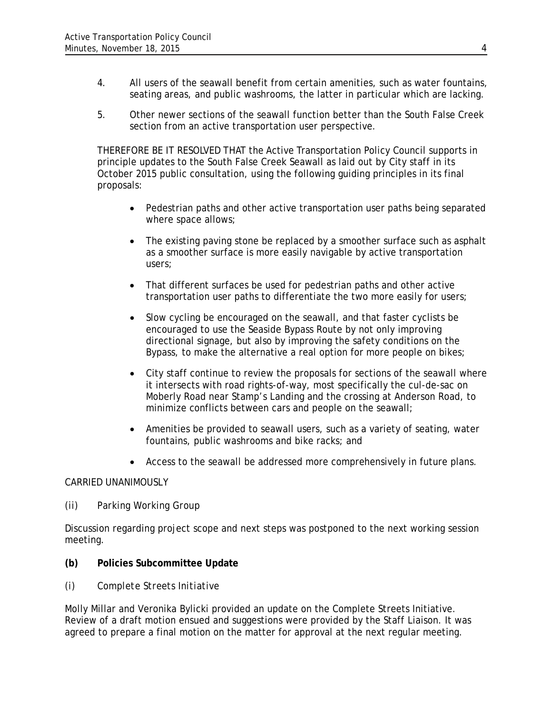- 4. All users of the seawall benefit from certain amenities, such as water fountains, seating areas, and public washrooms, the latter in particular which are lacking.
- 5. Other newer sections of the seawall function better than the South False Creek section from an active transportation user perspective.

THEREFORE BE IT RESOLVED THAT the Active Transportation Policy Council supports in principle updates to the South False Creek Seawall as laid out by City staff in its October 2015 public consultation, using the following guiding principles in its final proposals:

- Pedestrian paths and other active transportation user paths being separated where space allows;
- The existing paving stone be replaced by a smoother surface such as asphalt as a smoother surface is more easily navigable by active transportation users;
- That different surfaces be used for pedestrian paths and other active transportation user paths to differentiate the two more easily for users;
- Slow cycling be encouraged on the seawall, and that faster cyclists be encouraged to use the Seaside Bypass Route by not only improving directional signage, but also by improving the safety conditions on the Bypass, to make the alternative a real option for more people on bikes;
- City staff continue to review the proposals for sections of the seawall where it intersects with road rights-of-way, most specifically the cul-de-sac on Moberly Road near Stamp's Landing and the crossing at Anderson Road, to minimize conflicts between cars and people on the seawall;
- Amenities be provided to seawall users, such as a variety of seating, water fountains, public washrooms and bike racks; and
- Access to the seawall be addressed more comprehensively in future plans.

## CARRIED UNANIMOUSLY

*(ii) Parking Working Group*

Discussion regarding project scope and next steps was postponed to the next working session meeting.

## **(b) Policies Subcommittee Update**

*(i) Complete Streets Initiative*

Molly Millar and Veronika Bylicki provided an update on the Complete Streets Initiative. Review of a draft motion ensued and suggestions were provided by the Staff Liaison. It was agreed to prepare a final motion on the matter for approval at the next regular meeting.